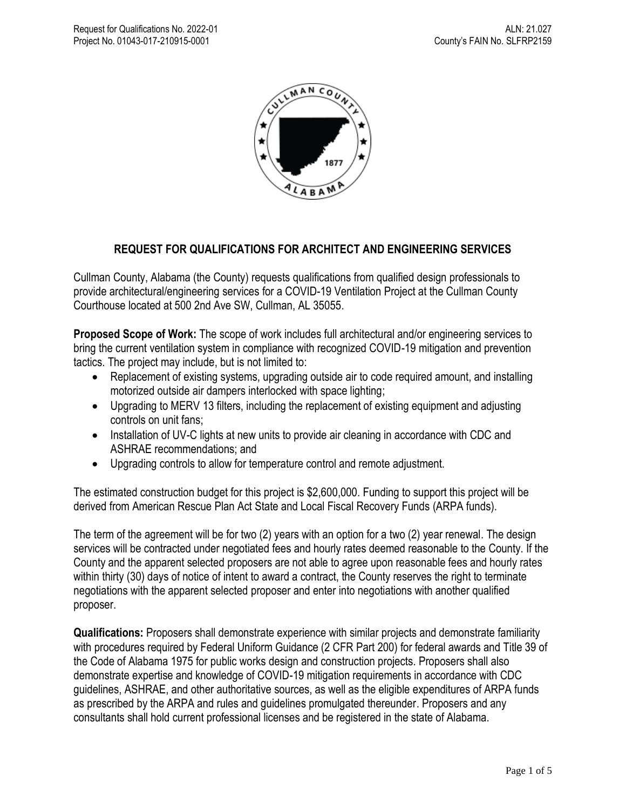

## **REQUEST FOR QUALIFICATIONS FOR ARCHITECT AND ENGINEERING SERVICES**

Cullman County, Alabama (the County) requests qualifications from qualified design professionals to provide architectural/engineering services for a COVID-19 Ventilation Project at the Cullman County Courthouse located at 500 2nd Ave SW, Cullman, AL 35055.

**Proposed Scope of Work:** The scope of work includes full architectural and/or engineering services to bring the current ventilation system in compliance with recognized COVID-19 mitigation and prevention tactics. The project may include, but is not limited to:

- Replacement of existing systems, upgrading outside air to code required amount, and installing motorized outside air dampers interlocked with space lighting;
- Upgrading to MERV 13 filters, including the replacement of existing equipment and adjusting controls on unit fans;
- Installation of UV-C lights at new units to provide air cleaning in accordance with CDC and ASHRAE recommendations; and
- Upgrading controls to allow for temperature control and remote adjustment.

The estimated construction budget for this project is \$2,600,000. Funding to support this project will be derived from American Rescue Plan Act State and Local Fiscal Recovery Funds (ARPA funds).

The term of the agreement will be for two (2) years with an option for a two (2) year renewal. The design services will be contracted under negotiated fees and hourly rates deemed reasonable to the County. If the County and the apparent selected proposers are not able to agree upon reasonable fees and hourly rates within thirty (30) days of notice of intent to award a contract, the County reserves the right to terminate negotiations with the apparent selected proposer and enter into negotiations with another qualified proposer.

**Qualifications:** Proposers shall demonstrate experience with similar projects and demonstrate familiarity with procedures required by Federal Uniform Guidance (2 CFR Part 200) for federal awards and Title 39 of the Code of Alabama 1975 for public works design and construction projects. Proposers shall also demonstrate expertise and knowledge of COVID-19 mitigation requirements in accordance with CDC guidelines, ASHRAE, and other authoritative sources, as well as the eligible expenditures of ARPA funds as prescribed by the ARPA and rules and guidelines promulgated thereunder. Proposers and any consultants shall hold current professional licenses and be registered in the state of Alabama.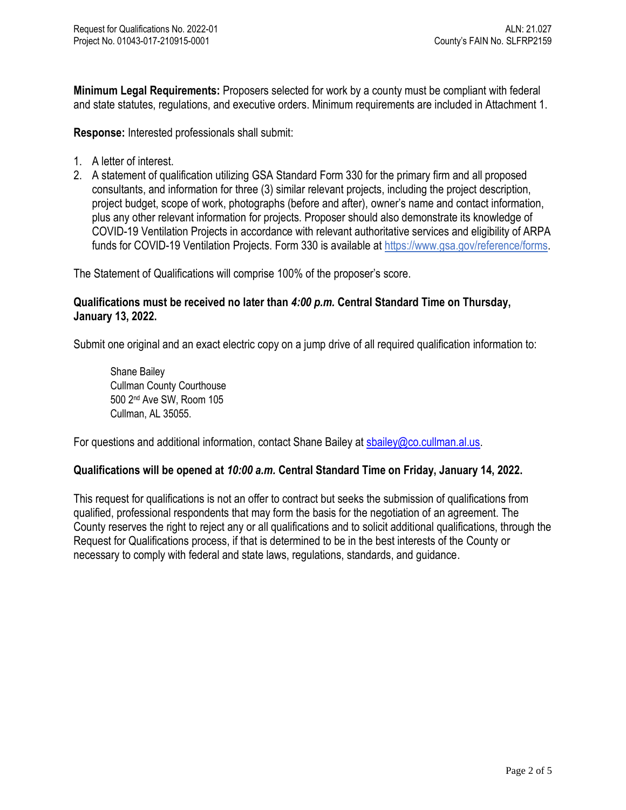**Minimum Legal Requirements:** Proposers selected for work by a county must be compliant with federal and state statutes, regulations, and executive orders. Minimum requirements are included in Attachment 1.

**Response:** Interested professionals shall submit:

- 1. A letter of interest.
- 2. A statement of qualification utilizing GSA Standard Form 330 for the primary firm and all proposed consultants, and information for three (3) similar relevant projects, including the project description, project budget, scope of work, photographs (before and after), owner's name and contact information, plus any other relevant information for projects. Proposer should also demonstrate its knowledge of COVID-19 Ventilation Projects in accordance with relevant authoritative services and eligibility of ARPA funds for COVID-19 Ventilation Projects. Form 330 is available at [https://www.gsa.gov/reference/forms.](https://www.gsa.gov/reference/forms)

The Statement of Qualifications will comprise 100% of the proposer's score.

## **Qualifications must be received no later than** *4:00 p.m.* **Central Standard Time on Thursday, January 13, 2022.**

Submit one original and an exact electric copy on a jump drive of all required qualification information to:

Shane Bailey Cullman County Courthouse 500 2nd Ave SW, Room 105 Cullman, AL 35055.

For questions and additional information, contact Shane Bailey at [sbailey@co.cullman.al.us.](mailto:sbailey@co.cullman.al.us)

## **Qualifications will be opened at** *10:00 a.m.* **Central Standard Time on Friday, January 14, 2022.**

This request for qualifications is not an offer to contract but seeks the submission of qualifications from qualified, professional respondents that may form the basis for the negotiation of an agreement. The County reserves the right to reject any or all qualifications and to solicit additional qualifications, through the Request for Qualifications process, if that is determined to be in the best interests of the County or necessary to comply with federal and state laws, regulations, standards, and guidance.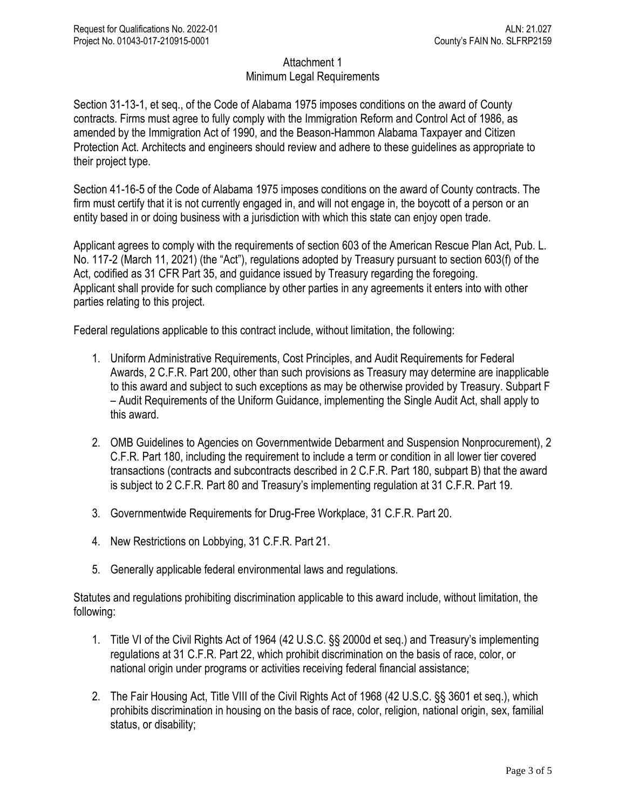## Attachment 1 Minimum Legal Requirements

Section 31-13-1, et seq., of the Code of Alabama 1975 imposes conditions on the award of County contracts. Firms must agree to fully comply with the Immigration Reform and Control Act of 1986, as amended by the Immigration Act of 1990, and the Beason-Hammon Alabama Taxpayer and Citizen Protection Act. Architects and engineers should review and adhere to these guidelines as appropriate to their project type.

Section 41-16-5 of the Code of Alabama 1975 imposes conditions on the award of County contracts. The firm must certify that it is not currently engaged in, and will not engage in, the boycott of a person or an entity based in or doing business with a jurisdiction with which this state can enjoy open trade.

Applicant agrees to comply with the requirements of section 603 of the American Rescue Plan Act, Pub. L. No. 117-2 (March 11, 2021) (the "Act"), regulations adopted by Treasury pursuant to section 603(f) of the Act, codified as 31 CFR Part 35, and guidance issued by Treasury regarding the foregoing. Applicant shall provide for such compliance by other parties in any agreements it enters into with other parties relating to this project.

Federal regulations applicable to this contract include, without limitation, the following:

- 1. Uniform Administrative Requirements, Cost Principles, and Audit Requirements for Federal Awards, 2 C.F.R. Part 200, other than such provisions as Treasury may determine are inapplicable to this award and subject to such exceptions as may be otherwise provided by Treasury. Subpart F – Audit Requirements of the Uniform Guidance, implementing the Single Audit Act, shall apply to this award.
- 2. OMB Guidelines to Agencies on Governmentwide Debarment and Suspension Nonprocurement), 2 C.F.R. Part 180, including the requirement to include a term or condition in all lower tier covered transactions (contracts and subcontracts described in 2 C.F.R. Part 180, subpart B) that the award is subject to 2 C.F.R. Part 80 and Treasury's implementing regulation at 31 C.F.R. Part 19.
- 3. Governmentwide Requirements for Drug-Free Workplace, 31 C.F.R. Part 20.
- 4. New Restrictions on Lobbying, 31 C.F.R. Part 21.
- 5. Generally applicable federal environmental laws and regulations.

Statutes and regulations prohibiting discrimination applicable to this award include, without limitation, the following:

- 1. Title VI of the Civil Rights Act of 1964 (42 U.S.C. §§ 2000d et seq.) and Treasury's implementing regulations at 31 C.F.R. Part 22, which prohibit discrimination on the basis of race, color, or national origin under programs or activities receiving federal financial assistance;
- 2. The Fair Housing Act, Title VIII of the Civil Rights Act of 1968 (42 U.S.C. §§ 3601 et seq.), which prohibits discrimination in housing on the basis of race, color, religion, national origin, sex, familial status, or disability;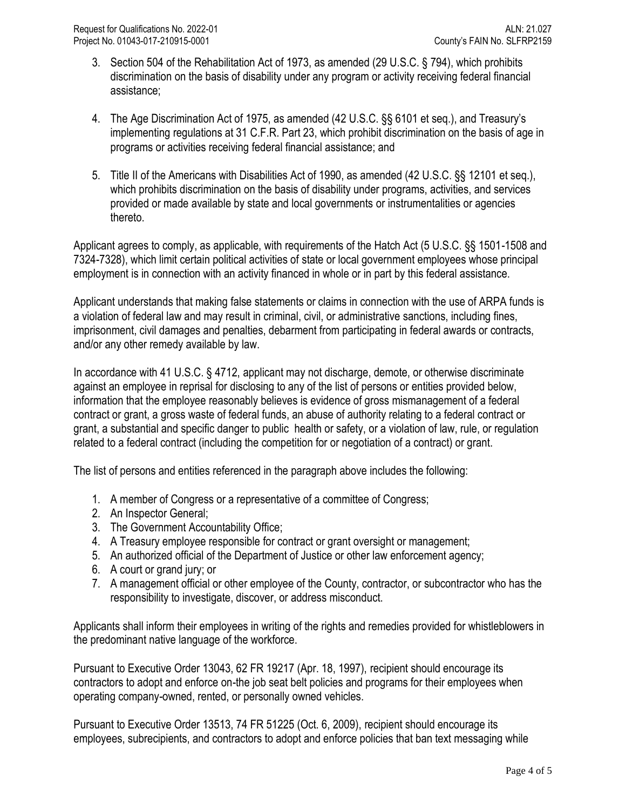- 3. Section 504 of the Rehabilitation Act of 1973, as amended (29 U.S.C. § 794), which prohibits discrimination on the basis of disability under any program or activity receiving federal financial assistance;
- 4. The Age Discrimination Act of 1975, as amended (42 U.S.C. §§ 6101 et seq.), and Treasury's implementing regulations at 31 C.F.R. Part 23, which prohibit discrimination on the basis of age in programs or activities receiving federal financial assistance; and
- 5. Title II of the Americans with Disabilities Act of 1990, as amended (42 U.S.C. §§ 12101 et seq.), which prohibits discrimination on the basis of disability under programs, activities, and services provided or made available by state and local governments or instrumentalities or agencies thereto.

Applicant agrees to comply, as applicable, with requirements of the Hatch Act (5 U.S.C. §§ 1501-1508 and 7324-7328), which limit certain political activities of state or local government employees whose principal employment is in connection with an activity financed in whole or in part by this federal assistance.

Applicant understands that making false statements or claims in connection with the use of ARPA funds is a violation of federal law and may result in criminal, civil, or administrative sanctions, including fines, imprisonment, civil damages and penalties, debarment from participating in federal awards or contracts, and/or any other remedy available by law.

In accordance with 41 U.S.C. § 4712, applicant may not discharge, demote, or otherwise discriminate against an employee in reprisal for disclosing to any of the list of persons or entities provided below, information that the employee reasonably believes is evidence of gross mismanagement of a federal contract or grant, a gross waste of federal funds, an abuse of authority relating to a federal contract or grant, a substantial and specific danger to public health or safety, or a violation of law, rule, or regulation related to a federal contract (including the competition for or negotiation of a contract) or grant.

The list of persons and entities referenced in the paragraph above includes the following:

- 1. A member of Congress or a representative of a committee of Congress;
- 2. An Inspector General;
- 3. The Government Accountability Office;
- 4. A Treasury employee responsible for contract or grant oversight or management;
- 5. An authorized official of the Department of Justice or other law enforcement agency;
- 6. A court or grand jury; or
- 7. A management official or other employee of the County, contractor, or subcontractor who has the responsibility to investigate, discover, or address misconduct.

Applicants shall inform their employees in writing of the rights and remedies provided for whistleblowers in the predominant native language of the workforce.

Pursuant to Executive Order 13043, 62 FR 19217 (Apr. 18, 1997), recipient should encourage its contractors to adopt and enforce on-the job seat belt policies and programs for their employees when operating company-owned, rented, or personally owned vehicles.

Pursuant to Executive Order 13513, 74 FR 51225 (Oct. 6, 2009), recipient should encourage its employees, subrecipients, and contractors to adopt and enforce policies that ban text messaging while